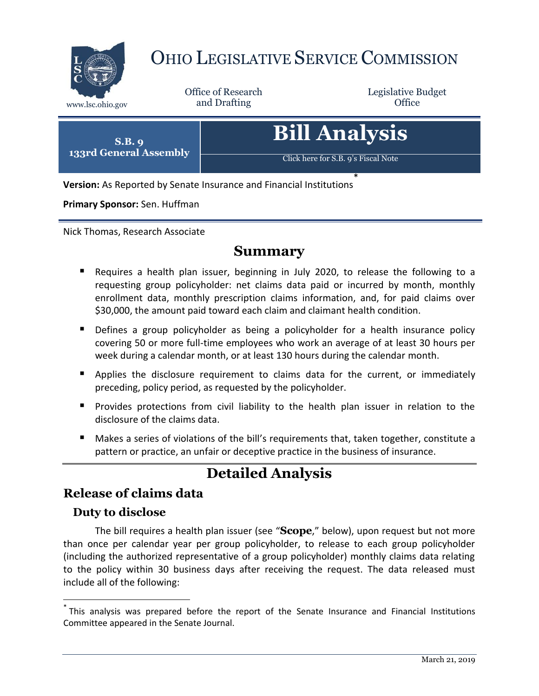

# OHIO LEGISLATIVE SERVICE COMMISSION

Office of Research

Legislative Budget

| S.B. q<br>133rd General Assembly | <b>Bill Analysis</b>                |
|----------------------------------|-------------------------------------|
|                                  | Click here for S.B. 9's Fiscal Note |

**Version:** As Reported by Senate Insurance and Financial Institutions \*

**Primary Sponsor:** Sen. Huffman

Nick Thomas, Research Associate

### **Summary**

- Requires a health plan issuer, beginning in July 2020, to release the following to a requesting group policyholder: net claims data paid or incurred by month, monthly enrollment data, monthly prescription claims information, and, for paid claims over \$30,000, the amount paid toward each claim and claimant health condition.
- **Defines a group policyholder as being a policyholder for a health insurance policy** covering 50 or more full-time employees who work an average of at least 30 hours per week during a calendar month, or at least 130 hours during the calendar month.
- **Applies the disclosure requirement to claims data for the current, or immediately** preceding, policy period, as requested by the policyholder.
- **Provides protections from civil liability to the health plan issuer in relation to the** disclosure of the claims data.
- Makes a series of violations of the bill's requirements that, taken together, constitute a pattern or practice, an unfair or deceptive practice in the business of insurance.

# **Detailed Analysis**

#### **Release of claims data**

#### **Duty to disclose**

 $\overline{a}$ 

The bill requires a health plan issuer (see "**Scope**," below), upon request but not more than once per calendar year per group policyholder, to release to each group policyholder (including the authorized representative of a group policyholder) monthly claims data relating to the policy within 30 business days after receiving the request. The data released must include all of the following:

<sup>\*</sup> This analysis was prepared before the report of the Senate Insurance and Financial Institutions Committee appeared in the Senate Journal.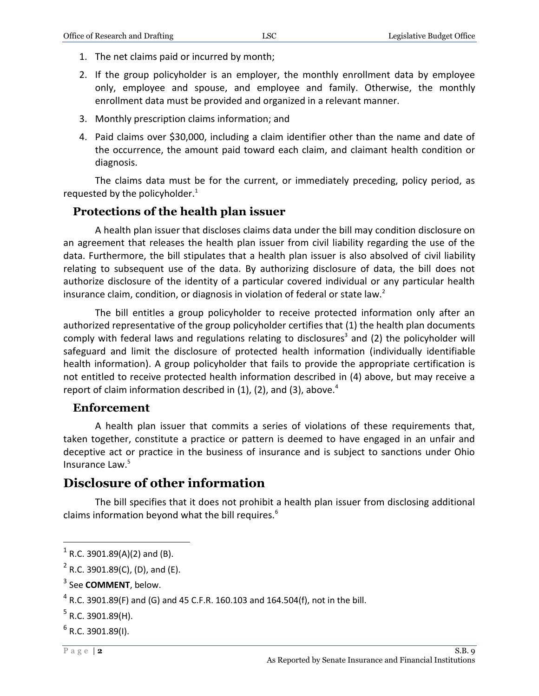- 1. The net claims paid or incurred by month;
- 2. If the group policyholder is an employer, the monthly enrollment data by employee only, employee and spouse, and employee and family. Otherwise, the monthly enrollment data must be provided and organized in a relevant manner.
- 3. Monthly prescription claims information; and
- 4. Paid claims over \$30,000, including a claim identifier other than the name and date of the occurrence, the amount paid toward each claim, and claimant health condition or diagnosis.

The claims data must be for the current, or immediately preceding, policy period, as requested by the policyholder. $1$ 

#### **Protections of the health plan issuer**

A health plan issuer that discloses claims data under the bill may condition disclosure on an agreement that releases the health plan issuer from civil liability regarding the use of the data. Furthermore, the bill stipulates that a health plan issuer is also absolved of civil liability relating to subsequent use of the data. By authorizing disclosure of data, the bill does not authorize disclosure of the identity of a particular covered individual or any particular health insurance claim, condition, or diagnosis in violation of federal or state law.<sup>2</sup>

The bill entitles a group policyholder to receive protected information only after an authorized representative of the group policyholder certifies that (1) the health plan documents comply with federal laws and regulations relating to disclosures<sup>3</sup> and (2) the policyholder will safeguard and limit the disclosure of protected health information (individually identifiable health information). A group policyholder that fails to provide the appropriate certification is not entitled to receive protected health information described in (4) above, but may receive a report of claim information described in  $(1)$ ,  $(2)$ , and  $(3)$ , above.<sup>4</sup>

#### **Enforcement**

A health plan issuer that commits a series of violations of these requirements that, taken together, constitute a practice or pattern is deemed to have engaged in an unfair and deceptive act or practice in the business of insurance and is subject to sanctions under Ohio Insurance Law.<sup>5</sup>

## **Disclosure of other information**

The bill specifies that it does not prohibit a health plan issuer from disclosing additional claims information beyond what the bill requires.<sup>6</sup>

 $^6$  R.C. 3901.89(I).

 $\overline{a}$ 

 $^{1}$  R.C. 3901.89(A)(2) and (B).

 $2^2$  R.C. 3901.89(C), (D), and (E).

<sup>3</sup> See **COMMENT**, below.

 $^4$  R.C. 3901.89(F) and (G) and 45 C.F.R. 160.103 and 164.504(f), not in the bill.

 $^5$  R.C. 3901.89(H).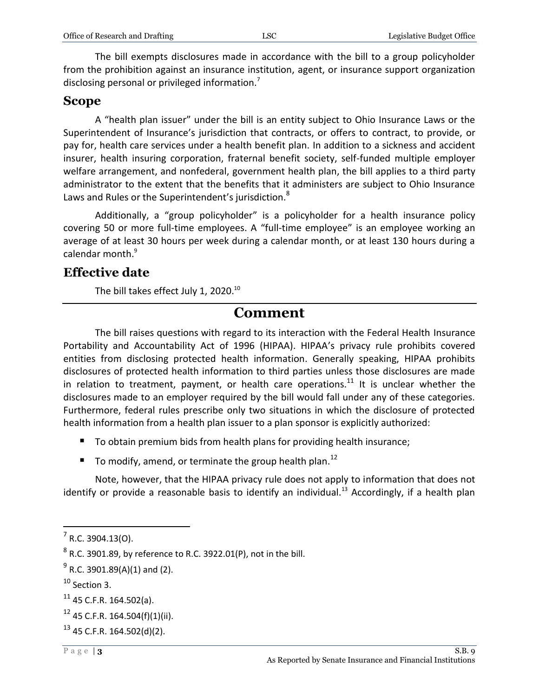The bill exempts disclosures made in accordance with the bill to a group policyholder from the prohibition against an insurance institution, agent, or insurance support organization disclosing personal or privileged information.<sup>7</sup>

#### **Scope**

A "health plan issuer" under the bill is an entity subject to Ohio Insurance Laws or the Superintendent of Insurance's jurisdiction that contracts, or offers to contract, to provide, or pay for, health care services under a health benefit plan. In addition to a sickness and accident insurer, health insuring corporation, fraternal benefit society, self-funded multiple employer welfare arrangement, and nonfederal, government health plan, the bill applies to a third party administrator to the extent that the benefits that it administers are subject to Ohio Insurance Laws and Rules or the Superintendent's jurisdiction.<sup>8</sup>

Additionally, a "group policyholder" is a policyholder for a health insurance policy covering 50 or more full-time employees. A "full-time employee" is an employee working an average of at least 30 hours per week during a calendar month, or at least 130 hours during a calendar month.<sup>9</sup>

#### **Effective date**

The bill takes effect July 1, 2020. $^{10}$ 

# **Comment**

The bill raises questions with regard to its interaction with the Federal Health Insurance Portability and Accountability Act of 1996 (HIPAA). HIPAA's privacy rule prohibits covered entities from disclosing protected health information. Generally speaking, HIPAA prohibits disclosures of protected health information to third parties unless those disclosures are made in relation to treatment, payment, or health care operations.<sup>11</sup> It is unclear whether the disclosures made to an employer required by the bill would fall under any of these categories. Furthermore, federal rules prescribe only two situations in which the disclosure of protected health information from a health plan issuer to a plan sponsor is explicitly authorized:

- To obtain premium bids from health plans for providing health insurance;
- To modify, amend, or terminate the group health plan.<sup>12</sup>

Note, however, that the HIPAA privacy rule does not apply to information that does not identify or provide a reasonable basis to identify an individual.<sup>13</sup> Accordingly, if a health plan

<sup>10</sup> Section 3.

 $\overline{a}$ 

 $7$  R.C. 3904.13(O).

 $^8$  R.C. 3901.89, by reference to R.C. 3922.01(P), not in the bill.

 $^{9}$  R.C. 3901.89(A)(1) and (2).

 $11$  45 C.F.R. 164.502(a).

 $12$  45 C.F.R. 164.504(f)(1)(ii).

 $13$  45 C.F.R. 164.502(d)(2).